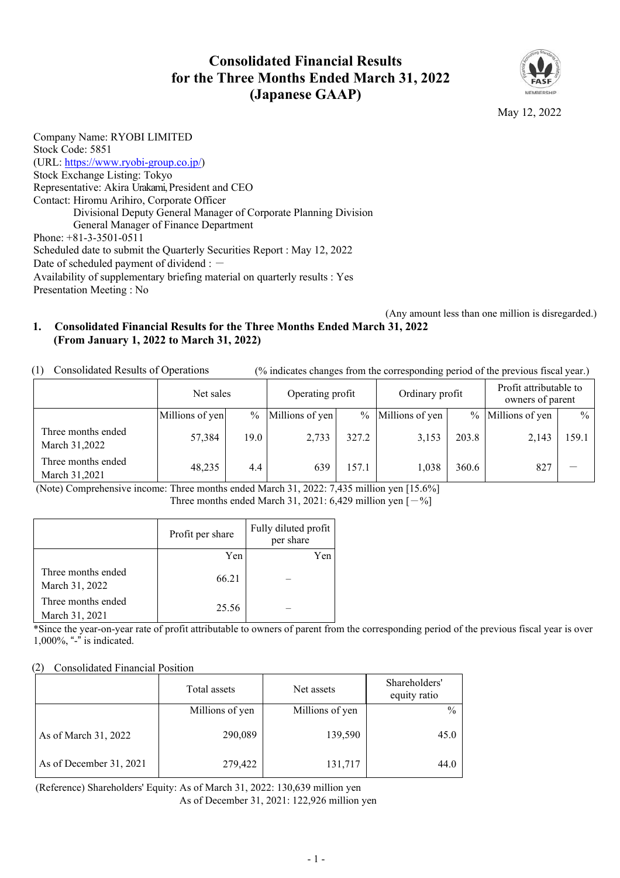### **Consolidated Financial Results for the Three Months Ended March 31, 2022 (Japanese GAAP)**



May 12, 2022

Company Name: RYOBI LIMITED Stock Code: 5851 (URL: [https://www.ryobi-group.co.jp/\)](https://www.ryobi-group.co.jp/) Stock Exchange Listing: Tokyo Representative: Akira Urakami, President and CEO Contact: Hiromu Arihiro, Corporate Officer Divisional Deputy General Manager of Corporate Planning Division General Manager of Finance Department Phone: +81-3-3501-0511 Scheduled date to submit the Quarterly Securities Report : May 12, 2022 Date of scheduled payment of dividend :  $-$ Availability of supplementary briefing material on quarterly results : Yes Presentation Meeting : No

(Any amount less than one million is disregarded.)

#### **1. Consolidated Financial Results for the Three Months Ended March 31, 2022 (From January 1, 2022 to March 31, 2022)**

(1) Consolidated Results of Operations (% indicates changes from the corresponding period of the previous fiscal year.)

|                                     | Net sales       |      | Operating profit |       | Ordinary profit |               | Profit attributable to<br>owners of parent |               |
|-------------------------------------|-----------------|------|------------------|-------|-----------------|---------------|--------------------------------------------|---------------|
|                                     | Millions of yen | $\%$ | Millions of yen  | $\%$  | Millions of yen | $\frac{0}{0}$ | Millions of yen                            | $\frac{0}{0}$ |
| Three months ended<br>March 31,2022 | 57,384          | 19.0 | 2,733            | 327.2 | 3,153           | 203.8         | 2,143                                      | 159.1         |
| Three months ended<br>March 31,2021 | 48,235          | 4.4  | 639              | 157.1 | 1,038           | 360.6         | 827                                        |               |

(Note) Comprehensive income: Three months ended March 31, 2022: 7,435 million yen [15.6%] Three months ended March 31, 2021: 6,429 million yen  $[-\%]$ 

|                                      | Profit per share | Fully diluted profit<br>per share |
|--------------------------------------|------------------|-----------------------------------|
|                                      | Yen              | Yen                               |
| Three months ended<br>March 31, 2022 | 66.21            |                                   |
| Three months ended<br>March 31, 2021 | 25.56            |                                   |

\*Since the year-on-year rate of profit attributable to owners of parent from the corresponding period of the previous fiscal year is over 1,000%, "-" is indicated.

#### (2) Consolidated Financial Position

|                         | Total assets    | Net assets      | Shareholders'<br>equity ratio |
|-------------------------|-----------------|-----------------|-------------------------------|
|                         | Millions of yen | Millions of yen | $\frac{0}{0}$                 |
| As of March 31, 2022    | 290,089         | 139,590         | 45.0                          |
| As of December 31, 2021 | 279,422         | 131,717         | 44.0                          |

(Reference) Shareholders' Equity: As of March 31, 2022: 130,639 million yen

As of December 31, 2021: 122,926 million yen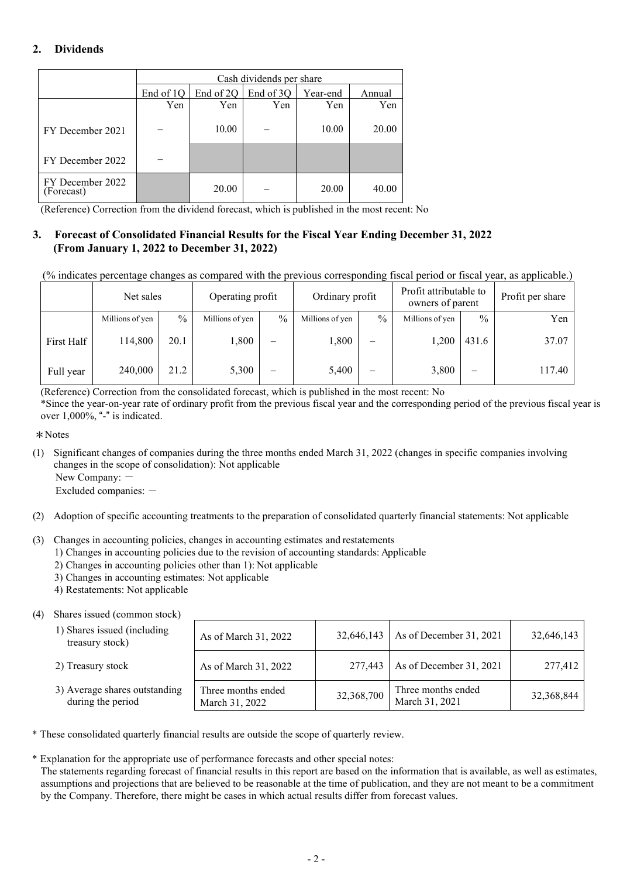### **2. Dividends**

|                                | Cash dividends per share |           |           |          |        |  |  |
|--------------------------------|--------------------------|-----------|-----------|----------|--------|--|--|
|                                | End of 1Q                | End of 2Q | End of 3Q | Year-end | Annual |  |  |
|                                | Yen                      | Yen       | Yen       | Yen      | Yen    |  |  |
| FY December 2021               |                          | 10.00     |           | 10.00    | 20.00  |  |  |
| FY December 2022               |                          |           |           |          |        |  |  |
| FY December 2022<br>(Forecast) |                          | 20.00     |           | 20.00    | 40.00  |  |  |

(Reference) Correction from the dividend forecast, which is published in the most recent: No

#### **3. Forecast of Consolidated Financial Results for the Fiscal Year Ending December 31, 2022 (From January 1, 2022 to December 31, 2022)**

(% indicates percentage changes as compared with the previous corresponding fiscal period or fiscal year, as applicable.)

|            | Net sales       | Ordinary profit<br>Operating profit |                 |                          |                 | Profit attributable to<br>owners of parent |                 | Profit per share |        |
|------------|-----------------|-------------------------------------|-----------------|--------------------------|-----------------|--------------------------------------------|-----------------|------------------|--------|
|            | Millions of yen | $\frac{0}{0}$                       | Millions of yen | $\frac{0}{0}$            | Millions of yen | $\frac{0}{0}$                              | Millions of yen | $\frac{0}{0}$    | Yen    |
| First Half | 114,800         | 20.1                                | 1,800           | -                        | 1,800           | -                                          | 1.200           | 431.6            | 37.07  |
| Full year  | 240,000         | 21.2                                | 5,300           | $\overline{\phantom{0}}$ | 5,400           | $\overline{\phantom{0}}$                   | 3,800           | -                | 117.40 |

(Reference) Correction from the consolidated forecast, which is published in the most recent: No \*Since the year-on-year rate of ordinary profit from the previous fiscal year and the corresponding period of the previous fiscal year is over 1,000%, "-" is indicated.

\*Notes

(1) Significant changes of companies during the three months ended March 31, 2022 (changes in specific companies involving changes in the scope of consolidation): Not applicable

New Company: -

Excluded companies:  $-$ 

- (2) Adoption of specific accounting treatments to the preparation of consolidated quarterly financial statements: Not applicable
- (3) Changes in accounting policies, changes in accounting estimates and restatements
	- 1) Changes in accounting policies due to the revision of accounting standards: Applicable
	- 2) Changes in accounting policies other than 1): Not applicable
	- 3) Changes in accounting estimates: Not applicable
	- 4) Restatements: Not applicable

#### (4) Shares issued (common stock)

| 1) Shares issued (including)<br>treasury stock)    | As of March 31, 2022                 | 32,646,143 | As of December 31, 2021              | 32,646,143 |
|----------------------------------------------------|--------------------------------------|------------|--------------------------------------|------------|
| 2) Treasury stock                                  | As of March 31, 2022                 | 277,443    | As of December 31, 2021              | 277,412    |
| 3) Average shares outstanding<br>during the period | Three months ended<br>March 31, 2022 | 32,368,700 | Three months ended<br>March 31, 2021 | 32,368,844 |

\* These consolidated quarterly financial results are outside the scope of quarterly review.

\* Explanation for the appropriate use of performance forecasts and other special notes:

The statements regarding forecast of financial results in this report are based on the information that is available, as well as estimates, assumptions and projections that are believed to be reasonable at the time of publication, and they are not meant to be a commitment by the Company. Therefore, there might be cases in which actual results differ from forecast values.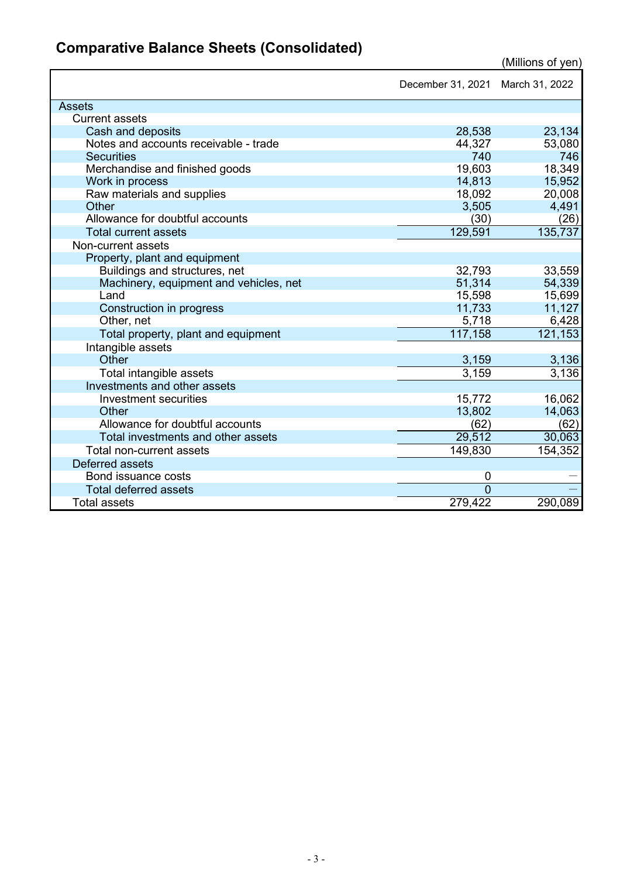## **Comparative Balance Sheets (Consolidated)**

|                                        | December 31, 2021 March 31, 2022 |                      |
|----------------------------------------|----------------------------------|----------------------|
| <b>Assets</b>                          |                                  |                      |
| <b>Current assets</b>                  |                                  |                      |
| Cash and deposits                      | 28,538                           | 23,134               |
| Notes and accounts receivable - trade  | 44,327                           | 53,080               |
| <b>Securities</b>                      | 740                              | 746                  |
| Merchandise and finished goods         | 19,603                           | 18,349               |
| Work in process                        | 14,813                           | 15,952               |
| Raw materials and supplies             | 18,092                           | 20,008               |
| Other                                  | 3,505                            | 4,491                |
| Allowance for doubtful accounts        | (30)                             | (26)                 |
| <b>Total current assets</b>            | 129,591                          | 135,737              |
| Non-current assets                     |                                  |                      |
| Property, plant and equipment          |                                  |                      |
| Buildings and structures, net          | 32,793                           | 33,559               |
| Machinery, equipment and vehicles, net | 51,314                           | 54,339               |
| Land                                   | 15,598                           | 15,699               |
| Construction in progress               | 11,733                           | 11,127               |
| Other, net                             | 5,718                            | 6,428                |
| Total property, plant and equipment    | 117,158                          | $\overline{121,153}$ |
| Intangible assets                      |                                  |                      |
| Other                                  | 3,159                            | 3,136                |
| Total intangible assets                | 3,159                            | 3,136                |
| Investments and other assets           |                                  |                      |
| Investment securities                  | 15,772                           | 16,062               |
| Other                                  | 13,802                           | 14,063               |
| Allowance for doubtful accounts        | (62)                             | (62)                 |
| Total investments and other assets     | 29,512                           | 30,063               |
| Total non-current assets               | 149,830                          | 154,352              |
| Deferred assets                        |                                  |                      |
| Bond issuance costs                    | 0                                |                      |
| <b>Total deferred assets</b>           | $\Omega$                         |                      |
| <b>Total assets</b>                    | 279,422                          | 290,089              |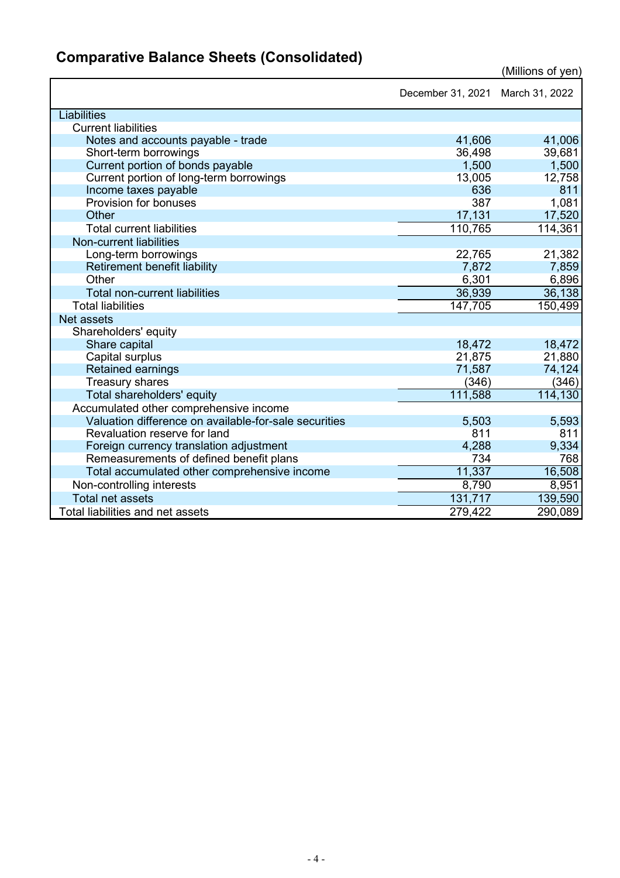|                                                       | December 31, 2021 March 31, 2022 |         |
|-------------------------------------------------------|----------------------------------|---------|
| Liabilities                                           |                                  |         |
| <b>Current liabilities</b>                            |                                  |         |
| Notes and accounts payable - trade                    | 41,606                           | 41,006  |
| Short-term borrowings                                 | 36,498                           | 39,681  |
| Current portion of bonds payable                      | 1,500                            | 1,500   |
| Current portion of long-term borrowings               | 13,005                           | 12,758  |
| Income taxes payable                                  | 636                              | 811     |
| Provision for bonuses                                 | 387                              | 1,081   |
| Other                                                 | 17,131                           | 17,520  |
| <b>Total current liabilities</b>                      | 110,765                          | 114,361 |
| <b>Non-current liabilities</b>                        |                                  |         |
| Long-term borrowings                                  | 22,765                           | 21,382  |
| Retirement benefit liability                          | 7,872                            | 7,859   |
| Other                                                 | 6,301                            | 6,896   |
| <b>Total non-current liabilities</b>                  | 36,939                           | 36,138  |
| <b>Total liabilities</b>                              | 147,705                          | 150,499 |
| Net assets                                            |                                  |         |
| Shareholders' equity                                  |                                  |         |
| Share capital                                         | 18,472                           | 18,472  |
| Capital surplus                                       | 21,875                           | 21,880  |
| <b>Retained earnings</b>                              | 71,587                           | 74,124  |
| <b>Treasury shares</b>                                | (346)                            | (346)   |
| Total shareholders' equity                            | 111,588                          | 114,130 |
| Accumulated other comprehensive income                |                                  |         |
| Valuation difference on available-for-sale securities | 5,503                            | 5,593   |
| Revaluation reserve for land                          | 811                              | 811     |
| Foreign currency translation adjustment               | 4,288                            | 9,334   |
| Remeasurements of defined benefit plans               | 734                              | 768     |
| Total accumulated other comprehensive income          | 11,337                           | 16,508  |
| Non-controlling interests                             | 8,790                            | 8,951   |
| <b>Total net assets</b>                               | 131,717                          | 139,590 |
| Total liabilities and net assets                      | 279,422                          | 290,089 |

# **Comparative Balance Sheets (Consolidated)**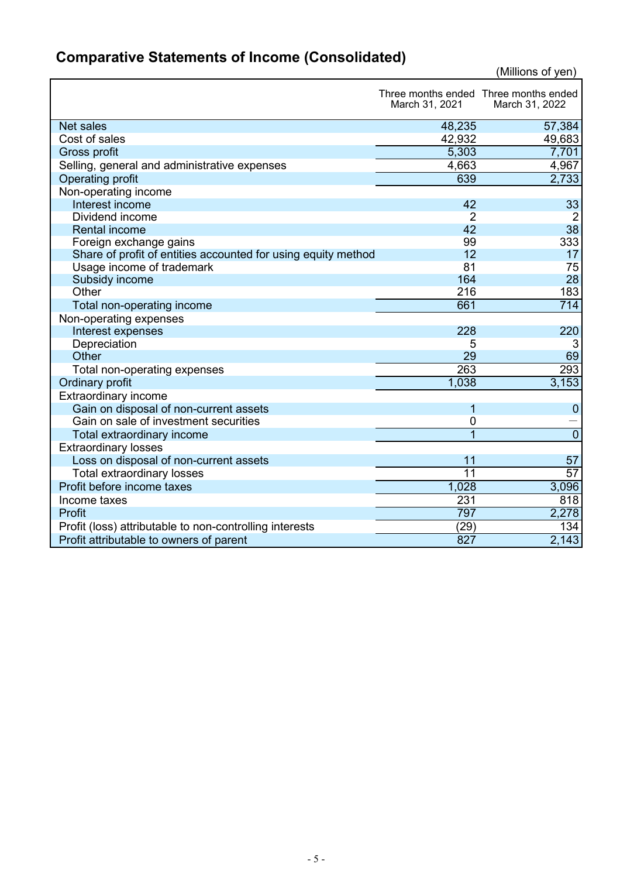# **Comparative Statements of Income (Consolidated)**

|                                                               | March 31, 2021  | Three months ended Three months ended<br>March 31, 2022 |
|---------------------------------------------------------------|-----------------|---------------------------------------------------------|
| <b>Net sales</b>                                              | 48,235          | 57,384                                                  |
| Cost of sales                                                 | 42,932          | 49,683                                                  |
| Gross profit                                                  | 5,303           | 7,701                                                   |
| Selling, general and administrative expenses                  | 4,663           | 4,967                                                   |
| Operating profit                                              | 639             | 2,733                                                   |
| Non-operating income                                          |                 |                                                         |
| Interest income                                               | 42              | 33                                                      |
| Dividend income                                               | $\overline{2}$  | $\overline{2}$                                          |
| <b>Rental income</b>                                          | 42              | 38                                                      |
| Foreign exchange gains                                        | 99              | 333                                                     |
| Share of profit of entities accounted for using equity method | 12              | 17                                                      |
| Usage income of trademark                                     | 81              | 75                                                      |
| Subsidy income                                                | 164             | 28                                                      |
| Other                                                         | 216             | 183                                                     |
| Total non-operating income                                    | 661             | $\overline{714}$                                        |
| Non-operating expenses                                        |                 |                                                         |
| Interest expenses                                             | 228             | 220                                                     |
| Depreciation                                                  | 5               | 3                                                       |
| Other                                                         | 29              | 69                                                      |
| Total non-operating expenses                                  | 263             | 293                                                     |
| Ordinary profit                                               | 1,038           | 3,153                                                   |
| <b>Extraordinary income</b>                                   |                 |                                                         |
| Gain on disposal of non-current assets                        | 1               | $\mathbf 0$                                             |
| Gain on sale of investment securities                         | 0               |                                                         |
| Total extraordinary income                                    |                 | $\overline{0}$                                          |
| <b>Extraordinary losses</b>                                   |                 |                                                         |
| Loss on disposal of non-current assets                        | 11              | 57                                                      |
| <b>Total extraordinary losses</b>                             | $\overline{11}$ | 57                                                      |
| Profit before income taxes                                    | 1,028           | 3,096                                                   |
| Income taxes                                                  | 231             | 818                                                     |
| Profit                                                        | 797             | 2,278                                                   |
| Profit (loss) attributable to non-controlling interests       | (29)            | 134                                                     |
| Profit attributable to owners of parent                       | 827             | 2,143                                                   |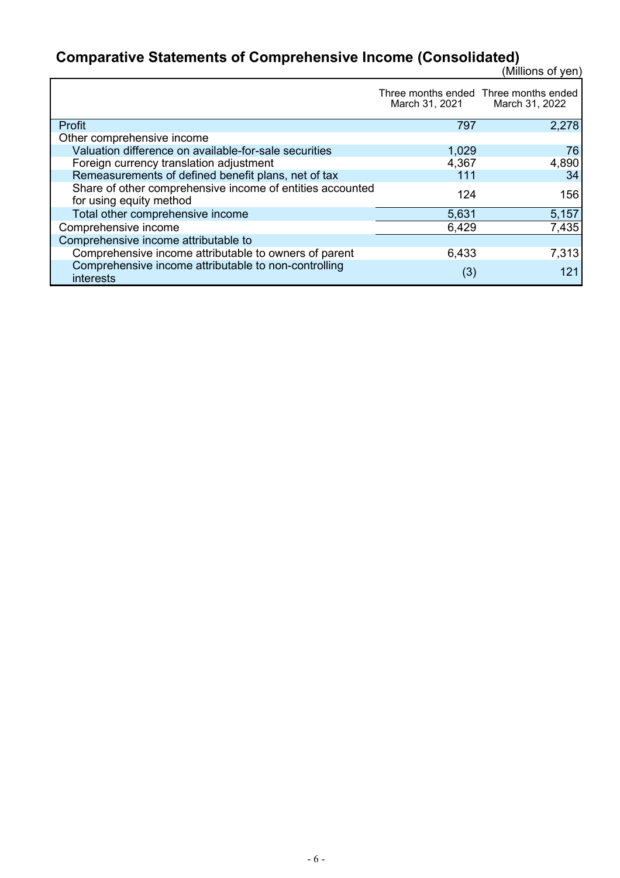### **Comparative Statements of Comprehensive Income (Consolidated)**

|                                                                                      | March 31, 2021 | Three months ended Three months ended<br>March 31, 2022 |
|--------------------------------------------------------------------------------------|----------------|---------------------------------------------------------|
| Profit                                                                               | 797            | 2,278                                                   |
| Other comprehensive income                                                           |                |                                                         |
| Valuation difference on available-for-sale securities                                | 1,029          | 76                                                      |
| Foreign currency translation adjustment                                              | 4,367          | 4,890                                                   |
| Remeasurements of defined benefit plans, net of tax                                  | 111            | 34                                                      |
| Share of other comprehensive income of entities accounted<br>for using equity method | 124            | 156                                                     |
| Total other comprehensive income                                                     | 5,631          | 5,157                                                   |
| Comprehensive income                                                                 | 6,429          | 7,435                                                   |
| Comprehensive income attributable to                                                 |                |                                                         |
| Comprehensive income attributable to owners of parent                                | 6,433          | 7,313                                                   |
| Comprehensive income attributable to non-controlling<br><b>interests</b>             | (3)            | 121                                                     |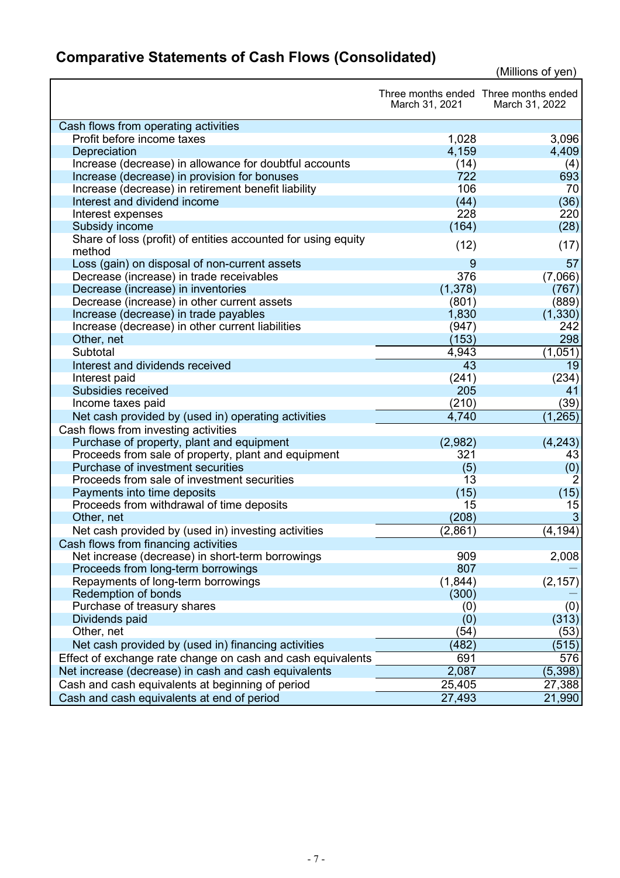## **Comparative Statements of Cash Flows (Consolidated)**

|                                                               | March 31, 2021 | Three months ended Three months ended<br>March 31, 2022 |
|---------------------------------------------------------------|----------------|---------------------------------------------------------|
| Cash flows from operating activities                          |                |                                                         |
| Profit before income taxes                                    | 1,028          | 3,096                                                   |
| Depreciation                                                  | 4,159          | 4,409                                                   |
| Increase (decrease) in allowance for doubtful accounts        | (14)           | (4)                                                     |
| Increase (decrease) in provision for bonuses                  | 722            | 693                                                     |
| Increase (decrease) in retirement benefit liability           | 106            | 70                                                      |
| Interest and dividend income                                  | (44)           | (36)                                                    |
| Interest expenses                                             | 228            | 220                                                     |
| Subsidy income                                                | (164)          | (28)                                                    |
| Share of loss (profit) of entities accounted for using equity | (12)           | (17)                                                    |
| method                                                        |                |                                                         |
| Loss (gain) on disposal of non-current assets                 | 9              | 57                                                      |
| Decrease (increase) in trade receivables                      | 376            | (7,066)                                                 |
| Decrease (increase) in inventories                            | (1, 378)       | (767)                                                   |
| Decrease (increase) in other current assets                   | (801)          | (889)                                                   |
| Increase (decrease) in trade payables                         | 1,830          | (1, 330)                                                |
| Increase (decrease) in other current liabilities              | (947)          | 242                                                     |
| Other, net                                                    | (153)          | 298                                                     |
| Subtotal                                                      | 4,943          | (1,051)                                                 |
| Interest and dividends received                               | 43             | 19                                                      |
| Interest paid                                                 | (241)          | (234)                                                   |
| Subsidies received                                            | 205            | 41                                                      |
| Income taxes paid                                             | (210)          | (39)                                                    |
| Net cash provided by (used in) operating activities           | 4,740          | (1, 265)                                                |
| Cash flows from investing activities                          |                |                                                         |
| Purchase of property, plant and equipment                     | (2,982)        | (4,243)                                                 |
| Proceeds from sale of property, plant and equipment           | 321            | 43                                                      |
| Purchase of investment securities                             | (5)            | (0)                                                     |
| Proceeds from sale of investment securities                   | 13             | 2                                                       |
| Payments into time deposits                                   | (15)           | (15)                                                    |
| Proceeds from withdrawal of time deposits                     | 15             | 15                                                      |
| Other, net                                                    | (208)          | 3                                                       |
| Net cash provided by (used in) investing activities           | (2,861)        | (4, 194)                                                |
| Cash flows from financing activities                          |                |                                                         |
| Net increase (decrease) in short-term borrowings              | 909            | 2,008                                                   |
| Proceeds from long-term borrowings                            | 807            |                                                         |
| Repayments of long-term borrowings                            | (1, 844)       | (2, 157)                                                |
| Redemption of bonds                                           | (300)          |                                                         |
| Purchase of treasury shares                                   | (0)            | (0)                                                     |
| Dividends paid                                                | (0)            | (313)                                                   |
| Other, net                                                    | (54)           | (53)                                                    |
| Net cash provided by (used in) financing activities           | (482)          | (515)                                                   |
| Effect of exchange rate change on cash and cash equivalents   | 691            | 576                                                     |
| Net increase (decrease) in cash and cash equivalents          | 2,087          | (5, 398)                                                |
| Cash and cash equivalents at beginning of period              | 25,405         | 27,388                                                  |
| Cash and cash equivalents at end of period                    | 27,493         | 21,990                                                  |